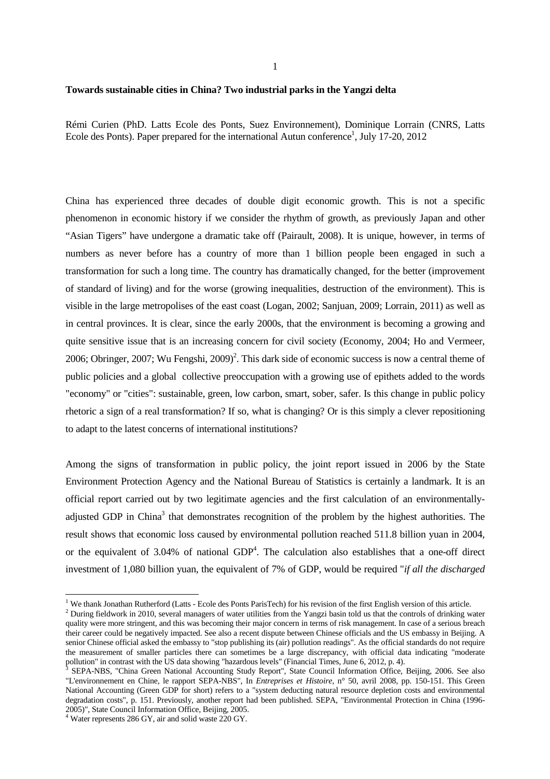## **Towards sustainable cities in China? Two industrial parks in the Yangzi delta**

Rémi Curien (PhD. Latts Ecole des Ponts, Suez Environnement), Dominique Lorrain (CNRS, Latts Ecole des Ponts). Paper prepared for the international Autun conference<sup>1</sup>, July 17-20, 2012

China has experienced three decades of double digit economic growth. This is not a specific phenomenon in economic history if we consider the rhythm of growth, as previously Japan and other "Asian Tigers" have undergone a dramatic take off (Pairault, 2008). It is unique, however, in terms of numbers as never before has a country of more than 1 billion people been engaged in such a transformation for such a long time. The country has dramatically changed, for the better (improvement of standard of living) and for the worse (growing inequalities, destruction of the environment). This is visible in the large metropolises of the east coast (Logan, 2002; Sanjuan, 2009; Lorrain, 2011) as well as in central provinces. It is clear, since the early 2000s, that the environment is becoming a growing and quite sensitive issue that is an increasing concern for civil society (Economy, 2004; Ho and Vermeer, 2006; Obringer, 2007; Wu Fengshi, 2009)<sup>2</sup>. This dark side of economic success is now a central theme of public policies and a global collective preoccupation with a growing use of epithets added to the words "economy" or "cities": sustainable, green, low carbon, smart, sober, safer. Is this change in public policy rhetoric a sign of a real transformation? If so, what is changing? Or is this simply a clever repositioning to adapt to the latest concerns of international institutions?

Among the signs of transformation in public policy, the joint report issued in 2006 by the State Environment Protection Agency and the National Bureau of Statistics is certainly a landmark. It is an official report carried out by two legitimate agencies and the first calculation of an environmentallyadjusted GDP in China<sup>3</sup> that demonstrates recognition of the problem by the highest authorities. The result shows that economic loss caused by environmental pollution reached 511.8 billion yuan in 2004, or the equivalent of  $3.04\%$  of national  $GDP<sup>4</sup>$ . The calculation also establishes that a one-off direct investment of 1,080 billion yuan, the equivalent of 7% of GDP, would be required "*if all the discharged*

<sup>&</sup>lt;sup>1</sup> We thank Jonathan Rutherford (Latts - Ecole des Ponts ParisTech) for his revision of the first English version of this article.

 $2$  During fieldwork in 2010, several managers of water utilities from the Yangzi basin told us that the controls of drinking water quality were more stringent, and this was becoming their major concern in terms of risk management. In case of a serious breach their career could be negatively impacted. See also a recent dispute between Chinese officials and the US embassy in Beijing. A senior Chinese official asked the embassy to "stop publishing its (air) pollution readings". As the official standards do not require the measurement of smaller particles there can sometimes be a large discrepancy, with official data indicating "moderate pollution" in contrast with the US data showing "hazardous levels" (Financial Times, June 6, 2012, p. 4).

<sup>3</sup> SEPA-NBS, "China Green National Accounting Study Report", State Council Information Office, Beijing, 2006. See also "L'environnement en Chine, le rapport SEPA-NBS", In *Entreprises et Histoire*, n° 50, avril 2008, pp. 150-151. This Green National Accounting (Green GDP for short) refers to a "system deducting natural resource depletion costs and environmental degradation costs", p. 151. Previously, another report had been published. SEPA, "Environmental Protection in China (1996- 2005)", State Council Information Office, Beijing, 2005.

<sup>4</sup> Water represents 286 GY, air and solid waste 220 GY.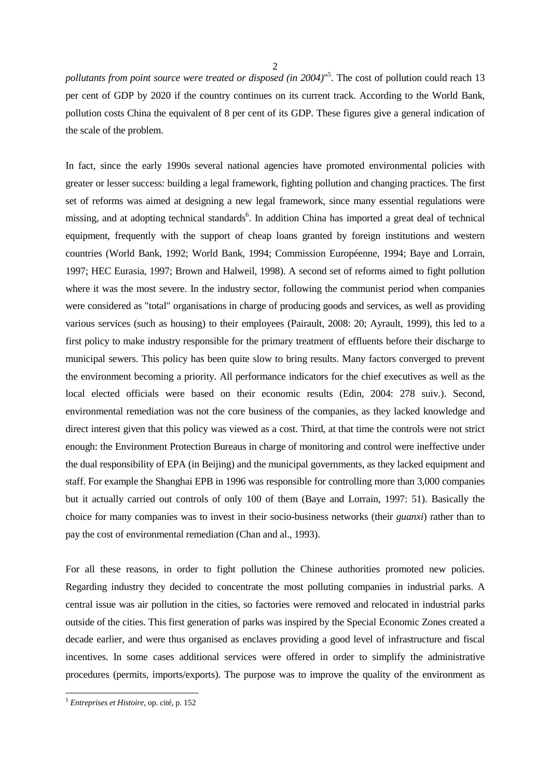$\mathfrak{D}$ 

*pollutants from point source were treated or disposed (in 2004)*" 5 . The cost of pollution could reach 13 per cent of GDP by 2020 if the country continues on its current track. According to the World Bank, pollution costs China the equivalent of 8 per cent of its GDP. These figures give a general indication of the scale of the problem.

In fact, since the early 1990s several national agencies have promoted environmental policies with greater or lesser success: building a legal framework, fighting pollution and changing practices. The first set of reforms was aimed at designing a new legal framework, since many essential regulations were missing, and at adopting technical standards<sup>6</sup>. In addition China has imported a great deal of technical equipment, frequently with the support of cheap loans granted by foreign institutions and western countries (World Bank, 1992; World Bank, 1994; Commission Européenne, 1994; Baye and Lorrain, 1997; HEC Eurasia, 1997; Brown and Halweil, 1998). A second set of reforms aimed to fight pollution where it was the most severe. In the industry sector, following the communist period when companies were considered as "total" organisations in charge of producing goods and services, as well as providing various services (such as housing) to their employees (Pairault, 2008: 20; Ayrault, 1999), this led to a first policy to make industry responsible for the primary treatment of effluents before their discharge to municipal sewers. This policy has been quite slow to bring results. Many factors converged to prevent the environment becoming a priority. All performance indicators for the chief executives as well as the local elected officials were based on their economic results (Edin, 2004: 278 suiv.). Second, environmental remediation was not the core business of the companies, as they lacked knowledge and direct interest given that this policy was viewed as a cost. Third, at that time the controls were not strict enough: the Environment Protection Bureaus in charge of monitoring and control were ineffective under the dual responsibility of EPA (in Beijing) and the municipal governments, as they lacked equipment and staff. For example the Shanghai EPB in 1996 was responsible for controlling more than 3,000 companies but it actually carried out controls of only 100 of them (Baye and Lorrain, 1997: 51). Basically the choice for many companies was to invest in their socio-business networks (their *guanxi*) rather than to pay the cost of environmental remediation (Chan and al., 1993).

For all these reasons, in order to fight pollution the Chinese authorities promoted new policies. Regarding industry they decided to concentrate the most polluting companies in industrial parks. A central issue was air pollution in the cities, so factories were removed and relocated in industrial parks outside of the cities. This first generation of parks was inspired by the Special Economic Zones created a decade earlier, and were thus organised as enclaves providing a good level of infrastructure and fiscal incentives. In some cases additional services were offered in order to simplify the administrative procedures (permits, imports/exports). The purpose was to improve the quality of the environment as

<sup>5</sup> *Entreprises et Histoire*, op. cité, p. 152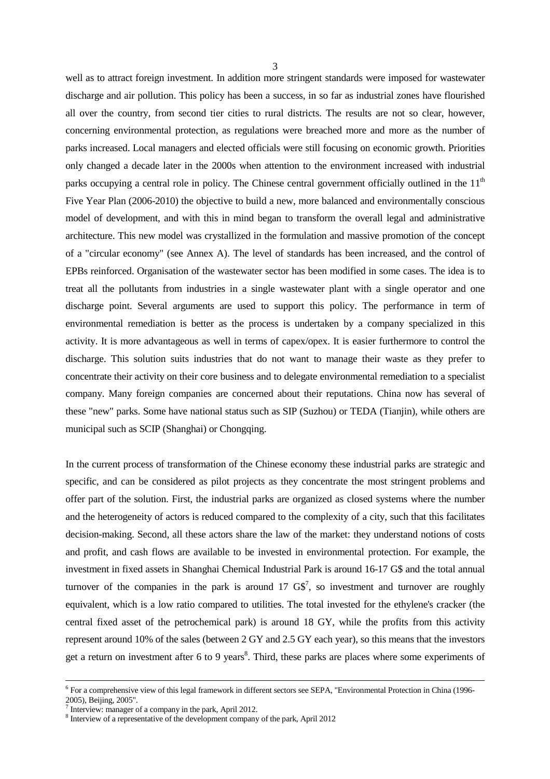well as to attract foreign investment. In addition more stringent standards were imposed for wastewater discharge and air pollution. This policy has been a success, in so far as industrial zones have flourished all over the country, from second tier cities to rural districts. The results are not so clear, however, concerning environmental protection, as regulations were breached more and more as the number of parks increased. Local managers and elected officials were still focusing on economic growth. Priorities only changed a decade later in the 2000s when attention to the environment increased with industrial parks occupying a central role in policy. The Chinese central government officially outlined in the  $11<sup>th</sup>$ Five Year Plan (2006-2010) the objective to build a new, more balanced and environmentally conscious model of development, and with this in mind began to transform the overall legal and administrative architecture. This new model was crystallized in the formulation and massive promotion of the concept of a "circular economy" (see Annex A). The level of standards has been increased, and the control of EPBs reinforced. Organisation of the wastewater sector has been modified in some cases. The idea is to treat all the pollutants from industries in a single wastewater plant with a single operator and one discharge point. Several arguments are used to support this policy. The performance in term of environmental remediation is better as the process is undertaken by a company specialized in this activity. It is more advantageous as well in terms of capex/opex. It is easier furthermore to control the discharge. This solution suits industries that do not want to manage their waste as they prefer to concentrate their activity on their core business and to delegate environmental remediation to a specialist company. Many foreign companies are concerned about their reputations. China now has several of these "new" parks. Some have national status such as SIP (Suzhou) or TEDA (Tianjin), while others are municipal such as SCIP (Shanghai) or Chongqing.

In the current process of transformation of the Chinese economy these industrial parks are strategic and specific, and can be considered as pilot projects as they concentrate the most stringent problems and offer part of the solution. First, the industrial parks are organized as closed systems where the number and the heterogeneity of actors is reduced compared to the complexity of a city, such that this facilitates decision-making. Second, all these actors share the law of the market: they understand notions of costs and profit, and cash flows are available to be invested in environmental protection. For example, the investment in fixed assets in Shanghai Chemical Industrial Park is around 16-17 G\$ and the total annual turnover of the companies in the park is around  $17 \text{ G}\$^7$ , so investment and turnover are roughly equivalent, which is a low ratio compared to utilities. The total invested for the ethylene's cracker (the central fixed asset of the petrochemical park) is around 18 GY, while the profits from this activity represent around 10% of the sales (between 2 GY and 2.5 GY each year), so this means that the investors get a return on investment after 6 to 9 years<sup>8</sup>. Third, these parks are places where some experiments of

<sup>&</sup>lt;sup>6</sup> For a comprehensive view of this legal framework in different sectors see SEPA, "Environmental Protection in China (1996-2005), Beijing, 2005".

<sup>&</sup>lt;sup>7</sup> Interview: manager of a company in the park, April 2012.

<sup>&</sup>lt;sup>8</sup> Interview of a representative of the development company of the park, April 2012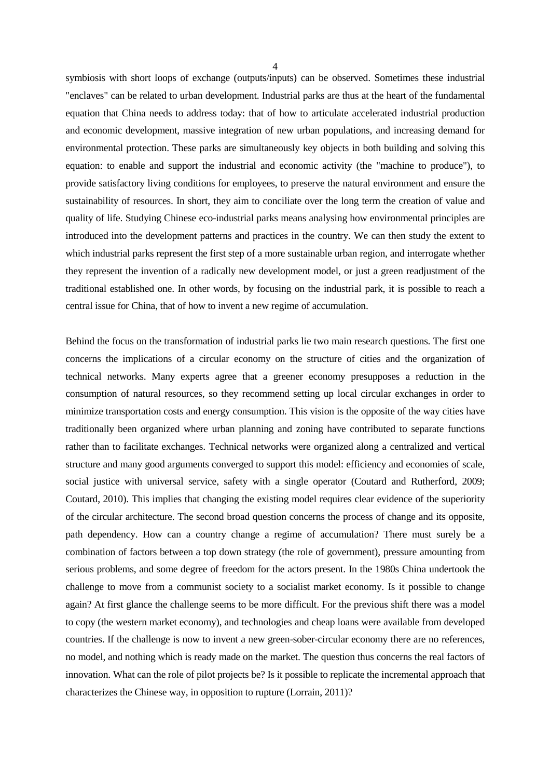symbiosis with short loops of exchange (outputs/inputs) can be observed. Sometimes these industrial "enclaves" can be related to urban development. Industrial parks are thus at the heart of the fundamental equation that China needs to address today: that of how to articulate accelerated industrial production and economic development, massive integration of new urban populations, and increasing demand for environmental protection. These parks are simultaneously key objects in both building and solving this equation: to enable and support the industrial and economic activity (the "machine to produce"), to provide satisfactory living conditions for employees, to preserve the natural environment and ensure the sustainability of resources. In short, they aim to conciliate over the long term the creation of value and quality of life. Studying Chinese eco-industrial parks means analysing how environmental principles are introduced into the development patterns and practices in the country. We can then study the extent to which industrial parks represent the first step of a more sustainable urban region, and interrogate whether they represent the invention of a radically new development model, or just a green readjustment of the traditional established one. In other words, by focusing on the industrial park, it is possible to reach a central issue for China, that of how to invent a new regime of accumulation.

Behind the focus on the transformation of industrial parks lie two main research questions. The first one concerns the implications of a circular economy on the structure of cities and the organization of technical networks. Many experts agree that a greener economy presupposes a reduction in the consumption of natural resources, so they recommend setting up local circular exchanges in order to minimize transportation costs and energy consumption. This vision is the opposite of the way cities have traditionally been organized where urban planning and zoning have contributed to separate functions rather than to facilitate exchanges. Technical networks were organized along a centralized and vertical structure and many good arguments converged to support this model: efficiency and economies of scale, social justice with universal service, safety with a single operator (Coutard and Rutherford, 2009; Coutard, 2010). This implies that changing the existing model requires clear evidence of the superiority of the circular architecture. The second broad question concerns the process of change and its opposite, path dependency. How can a country change a regime of accumulation? There must surely be a combination of factors between a top down strategy (the role of government), pressure amounting from serious problems, and some degree of freedom for the actors present. In the 1980s China undertook the challenge to move from a communist society to a socialist market economy. Is it possible to change again? At first glance the challenge seems to be more difficult. For the previous shift there was a model to copy (the western market economy), and technologies and cheap loans were available from developed countries. If the challenge is now to invent a new green-sober-circular economy there are no references, no model, and nothing which is ready made on the market. The question thus concerns the real factors of innovation. What can the role of pilot projects be? Is it possible to replicate the incremental approach that characterizes the Chinese way, in opposition to rupture (Lorrain, 2011)?

4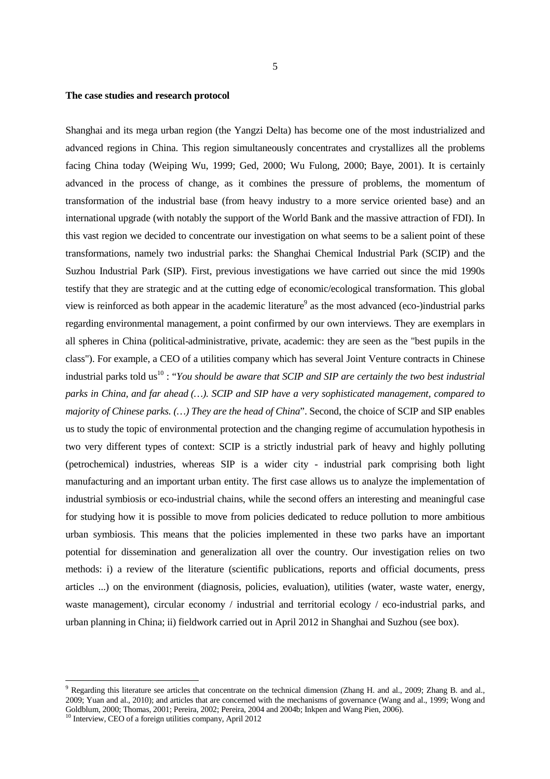## **The case studies and research protocol**

Shanghai and its mega urban region (the Yangzi Delta) has become one of the most industrialized and advanced regions in China. This region simultaneously concentrates and crystallizes all the problems facing China today (Weiping Wu, 1999; Ged, 2000; Wu Fulong, 2000; Baye, 2001). It is certainly advanced in the process of change, as it combines the pressure of problems, the momentum of transformation of the industrial base (from heavy industry to a more service oriented base) and an international upgrade (with notably the support of the World Bank and the massive attraction of FDI). In this vast region we decided to concentrate our investigation on what seems to be a salient point of these transformations, namely two industrial parks: the Shanghai Chemical Industrial Park (SCIP) and the Suzhou Industrial Park (SIP). First, previous investigations we have carried out since the mid 1990s testify that they are strategic and at the cutting edge of economic/ecological transformation. This global view is reinforced as both appear in the academic literature<sup>9</sup> as the most advanced (eco-)industrial parks regarding environmental management, a point confirmed by our own interviews. They are exemplars in all spheres in China (political-administrative, private, academic: they are seen as the "best pupils in the class"). For example, a CEO of a utilities company which has several Joint Venture contracts in Chinese industrial parks told us<sup>10</sup>: "*You should be aware that SCIP and SIP are certainly the two best industrial parks in China, and far ahead (…). SCIP and SIP have a very sophisticated management, compared to majority of Chinese parks. (…) They are the head of China*". Second, the choice of SCIP and SIP enables us to study the topic of environmental protection and the changing regime of accumulation hypothesis in two very different types of context: SCIP is a strictly industrial park of heavy and highly polluting (petrochemical) industries, whereas SIP is a wider city - industrial park comprising both light manufacturing and an important urban entity. The first case allows us to analyze the implementation of industrial symbiosis or eco-industrial chains, while the second offers an interesting and meaningful case for studying how it is possible to move from policies dedicated to reduce pollution to more ambitious urban symbiosis. This means that the policies implemented in these two parks have an important potential for dissemination and generalization all over the country. Our investigation relies on two methods: i) a review of the literature (scientific publications, reports and official documents, press articles ...) on the environment (diagnosis, policies, evaluation), utilities (water, waste water, energy, waste management), circular economy / industrial and territorial ecology / eco-industrial parks, and urban planning in China; ii) fieldwork carried out in April 2012 in Shanghai and Suzhou (see box).

<sup>&</sup>lt;sup>9</sup> Regarding this literature see articles that concentrate on the technical dimension (Zhang H. and al., 2009; Zhang B. and al., 2009; Yuan and al., 2010); and articles that are concerned with the mechanisms of governance (Wang and al., 1999; Wong and Goldblum, 2000; Thomas, 2001; Pereira, 2002; Pereira, 2004 and 2004b; Inkpen and Wang Pien, 2006).

<sup>&</sup>lt;sup>10</sup> Interview, CEO of a foreign utilities company, April 2012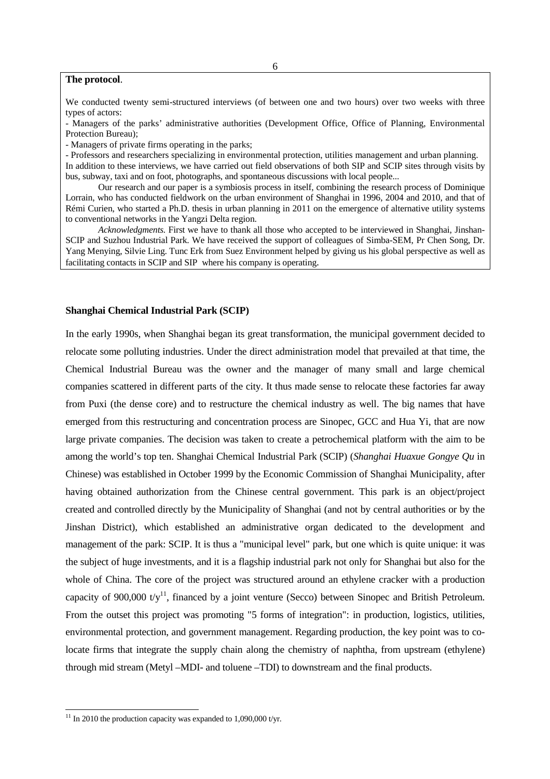## **The protocol**.

We conducted twenty semi-structured interviews (of between one and two hours) over two weeks with three types of actors:

- Managers of the parks' administrative authorities (Development Office, Office of Planning, Environmental Protection Bureau);

- Managers of private firms operating in the parks;

- Professors and researchers specializing in environmental protection, utilities management and urban planning.

In addition to these interviews, we have carried out field observations of both SIP and SCIP sites through visits by bus, subway, taxi and on foot, photographs, and spontaneous discussions with local people...

Our research and our paper is a symbiosis process in itself, combining the research process of Dominique Lorrain, who has conducted fieldwork on the urban environment of Shanghai in 1996, 2004 and 2010, and that of Rémi Curien, who started a Ph.D. thesis in urban planning in 2011 on the emergence of alternative utility systems to conventional networks in the Yangzi Delta region.

*Acknowledgments.* First we have to thank all those who accepted to be interviewed in Shanghai, Jinshan-SCIP and Suzhou Industrial Park. We have received the support of colleagues of Simba-SEM, Pr Chen Song, Dr. Yang Menying, Silvie Ling. Tunc Erk from Suez Environment helped by giving us his global perspective as well as facilitating contacts in SCIP and SIP where his company is operating.

## **Shanghai Chemical Industrial Park (SCIP)**

In the early 1990s, when Shanghai began its great transformation, the municipal government decided to relocate some polluting industries. Under the direct administration model that prevailed at that time, the Chemical Industrial Bureau was the owner and the manager of many small and large chemical companies scattered in different parts of the city. It thus made sense to relocate these factories far away from Puxi (the dense core) and to restructure the chemical industry as well. The big names that have emerged from this restructuring and concentration process are Sinopec, GCC and Hua Yi, that are now large private companies. The decision was taken to create a petrochemical platform with the aim to be among the world's top ten. Shanghai Chemical Industrial Park (SCIP) (*Shanghai Huaxue Gongye Qu* in Chinese) was established in October 1999 by the Economic Commission of Shanghai Municipality, after having obtained authorization from the Chinese central government. This park is an object/project created and controlled directly by the Municipality of Shanghai (and not by central authorities or by the Jinshan District), which established an administrative organ dedicated to the development and management of the park: SCIP. It is thus a "municipal level" park, but one which is quite unique: it was the subject of huge investments, and it is a flagship industrial park not only for Shanghai but also for the whole of China. The core of the project was structured around an ethylene cracker with a production capacity of 900,000 t/ $v^{11}$ , financed by a joint venture (Secco) between Sinopec and British Petroleum. From the outset this project was promoting "5 forms of integration": in production, logistics, utilities, environmental protection, and government management. Regarding production, the key point was to colocate firms that integrate the supply chain along the chemistry of naphtha, from upstream (ethylene) through mid stream (Metyl –MDI- and toluene –TDI) to downstream and the final products.

l

 $11$  In 2010 the production capacity was expanded to 1,090,000 t/yr.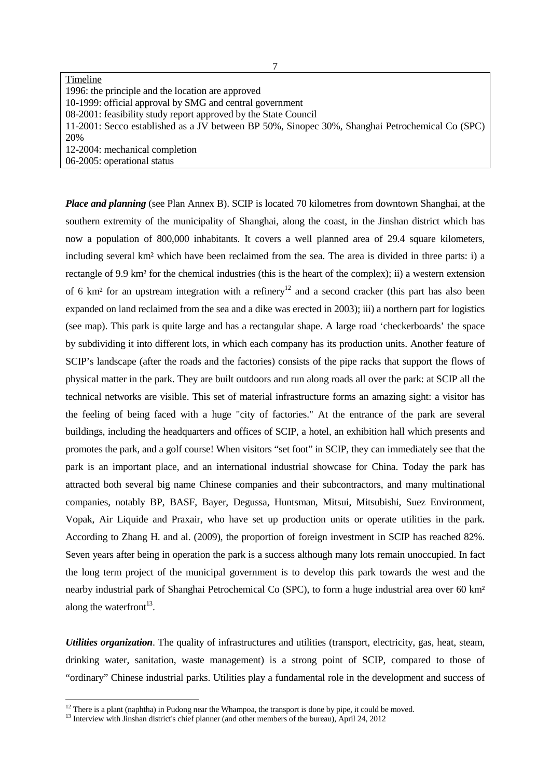| Timeline                                                                                        |
|-------------------------------------------------------------------------------------------------|
| 1996: the principle and the location are approved                                               |
| 10-1999: official approval by SMG and central government                                        |
| 08-2001: feasibility study report approved by the State Council                                 |
| 11-2001: Secco established as a JV between BP 50%, Sinopec 30%, Shanghai Petrochemical Co (SPC) |
| 20%                                                                                             |
| 12-2004: mechanical completion                                                                  |
| 06-2005: operational status                                                                     |

*Place and planning* (see Plan Annex B). SCIP is located 70 kilometres from downtown Shanghai, at the southern extremity of the municipality of Shanghai, along the coast, in the Jinshan district which has now a population of 800,000 inhabitants. It covers a well planned area of 29.4 square kilometers, including several km² which have been reclaimed from the sea. The area is divided in three parts: i) a rectangle of 9.9 km² for the chemical industries (this is the heart of the complex); ii) a western extension of 6 km<sup>2</sup> for an upstream integration with a refinery<sup>12</sup> and a second cracker (this part has also been expanded on land reclaimed from the sea and a dike was erected in 2003); iii) a northern part for logistics (see map). This park is quite large and has a rectangular shape. A large road 'checkerboards' the space by subdividing it into different lots, in which each company has its production units. Another feature of SCIP's landscape (after the roads and the factories) consists of the pipe racks that support the flows of physical matter in the park. They are built outdoors and run along roads all over the park: at SCIP all the technical networks are visible. This set of material infrastructure forms an amazing sight: a visitor has the feeling of being faced with a huge "city of factories." At the entrance of the park are several buildings, including the headquarters and offices of SCIP, a hotel, an exhibition hall which presents and promotes the park, and a golf course! When visitors "set foot" in SCIP, they can immediately see that the park is an important place, and an international industrial showcase for China. Today the park has attracted both several big name Chinese companies and their subcontractors, and many multinational companies, notably BP, BASF, Bayer, Degussa, Huntsman, Mitsui, Mitsubishi, Suez Environment, Vopak, Air Liquide and Praxair, who have set up production units or operate utilities in the park. According to Zhang H. and al. (2009), the proportion of foreign investment in SCIP has reached 82%. Seven years after being in operation the park is a success although many lots remain unoccupied. In fact the long term project of the municipal government is to develop this park towards the west and the nearby industrial park of Shanghai Petrochemical Co (SPC), to form a huge industrial area over 60 km² along the waterfront $^{13}$ .

*Utilities organization*. The quality of infrastructures and utilities (transport, electricity, gas, heat, steam, drinking water, sanitation, waste management) is a strong point of SCIP, compared to those of "ordinary" Chinese industrial parks. Utilities play a fundamental role in the development and success of

 $12$  There is a plant (naphtha) in Pudong near the Whampoa, the transport is done by pipe, it could be moved.

<sup>&</sup>lt;sup>13</sup> Interview with Jinshan district's chief planner (and other members of the bureau), April 24, 2012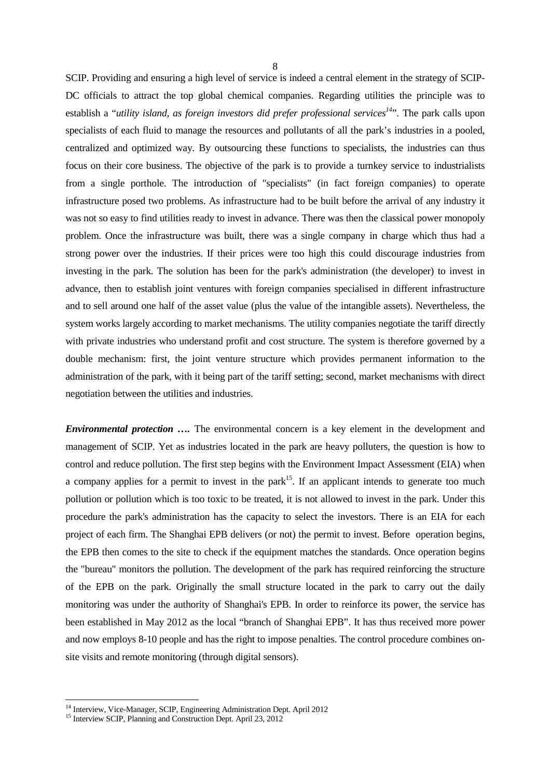SCIP. Providing and ensuring a high level of service is indeed a central element in the strategy of SCIP-DC officials to attract the top global chemical companies. Regarding utilities the principle was to establish a "*utility island, as foreign investors did prefer professional services<sup>14</sup>*". The park calls upon specialists of each fluid to manage the resources and pollutants of all the park's industries in a pooled, centralized and optimized way. By outsourcing these functions to specialists, the industries can thus focus on their core business. The objective of the park is to provide a turnkey service to industrialists from a single porthole. The introduction of "specialists" (in fact foreign companies) to operate infrastructure posed two problems. As infrastructure had to be built before the arrival of any industry it was not so easy to find utilities ready to invest in advance. There was then the classical power monopoly problem. Once the infrastructure was built, there was a single company in charge which thus had a strong power over the industries. If their prices were too high this could discourage industries from investing in the park. The solution has been for the park's administration (the developer) to invest in advance, then to establish joint ventures with foreign companies specialised in different infrastructure and to sell around one half of the asset value (plus the value of the intangible assets). Nevertheless, the system works largely according to market mechanisms. The utility companies negotiate the tariff directly with private industries who understand profit and cost structure. The system is therefore governed by a double mechanism: first, the joint venture structure which provides permanent information to the administration of the park, with it being part of the tariff setting; second, market mechanisms with direct negotiation between the utilities and industries.

*Environmental protection ….* The environmental concern is a key element in the development and management of SCIP. Yet as industries located in the park are heavy polluters, the question is how to control and reduce pollution. The first step begins with the Environment Impact Assessment (EIA) when a company applies for a permit to invest in the park<sup>15</sup>. If an applicant intends to generate too much pollution or pollution which is too toxic to be treated, it is not allowed to invest in the park. Under this procedure the park's administration has the capacity to select the investors. There is an EIA for each project of each firm. The Shanghai EPB delivers (or not) the permit to invest. Before operation begins, the EPB then comes to the site to check if the equipment matches the standards. Once operation begins the "bureau" monitors the pollution. The development of the park has required reinforcing the structure of the EPB on the park. Originally the small structure located in the park to carry out the daily monitoring was under the authority of Shanghai's EPB. In order to reinforce its power, the service has been established in May 2012 as the local "branch of Shanghai EPB". It has thus received more power and now employs 8-10 people and has the right to impose penalties. The control procedure combines onsite visits and remote monitoring (through digital sensors).

<sup>&</sup>lt;sup>14</sup> Interview, Vice-Manager, SCIP, Engineering Administration Dept. April 2012

<sup>&</sup>lt;sup>15</sup> Interview SCIP, Planning and Construction Dept. April 23, 2012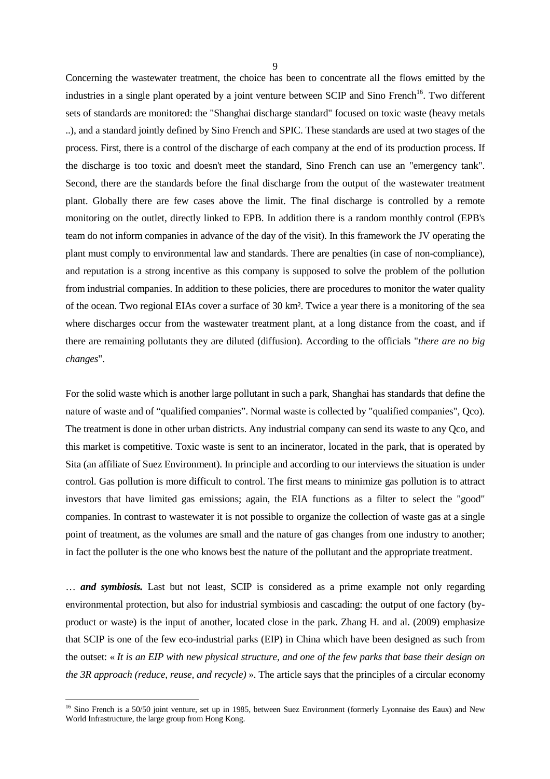Concerning the wastewater treatment, the choice has been to concentrate all the flows emitted by the industries in a single plant operated by a joint venture between SCIP and Sino French<sup>16</sup>. Two different sets of standards are monitored: the "Shanghai discharge standard" focused on toxic waste (heavy metals ..), and a standard jointly defined by Sino French and SPIC. These standards are used at two stages of the process. First, there is a control of the discharge of each company at the end of its production process. If the discharge is too toxic and doesn't meet the standard, Sino French can use an "emergency tank". Second, there are the standards before the final discharge from the output of the wastewater treatment plant. Globally there are few cases above the limit. The final discharge is controlled by a remote monitoring on the outlet, directly linked to EPB. In addition there is a random monthly control (EPB's team do not inform companies in advance of the day of the visit). In this framework the JV operating the plant must comply to environmental law and standards. There are penalties (in case of non-compliance), and reputation is a strong incentive as this company is supposed to solve the problem of the pollution from industrial companies. In addition to these policies, there are procedures to monitor the water quality of the ocean. Two regional EIAs cover a surface of 30 km². Twice a year there is a monitoring of the sea where discharges occur from the wastewater treatment plant, at a long distance from the coast, and if there are remaining pollutants they are diluted (diffusion). According to the officials "*there are no big changes*".

For the solid waste which is another large pollutant in such a park, Shanghai has standards that define the nature of waste and of "qualified companies". Normal waste is collected by "qualified companies", Qco). The treatment is done in other urban districts. Any industrial company can send its waste to any Qco, and this market is competitive. Toxic waste is sent to an incinerator, located in the park, that is operated by Sita (an affiliate of Suez Environment). In principle and according to our interviews the situation is under control. Gas pollution is more difficult to control. The first means to minimize gas pollution is to attract investors that have limited gas emissions; again, the EIA functions as a filter to select the "good" companies. In contrast to wastewater it is not possible to organize the collection of waste gas at a single point of treatment, as the volumes are small and the nature of gas changes from one industry to another; in fact the polluter is the one who knows best the nature of the pollutant and the appropriate treatment.

… *and symbiosis.* Last but not least, SCIP is considered as a prime example not only regarding environmental protection, but also for industrial symbiosis and cascading: the output of one factory (byproduct or waste) is the input of another, located close in the park. Zhang H. and al. (2009) emphasize that SCIP is one of the few eco-industrial parks (EIP) in China which have been designed as such from the outset: « *It is an EIP with new physical structure, and one of the few parks that base their design on the 3R approach (reduce, reuse, and recycle)* ». The article says that the principles of a circular economy

<sup>&</sup>lt;sup>16</sup> Sino French is a 50/50 joint venture, set up in 1985, between Suez Environment (formerly Lyonnaise des Eaux) and New World Infrastructure, the large group from Hong Kong.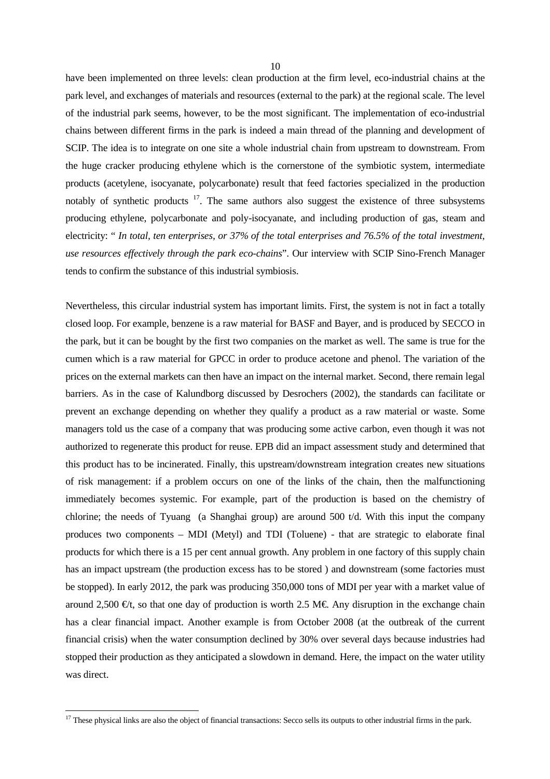have been implemented on three levels: clean production at the firm level, eco-industrial chains at the park level, and exchanges of materials and resources (external to the park) at the regional scale. The level of the industrial park seems, however, to be the most significant. The implementation of eco-industrial chains between different firms in the park is indeed a main thread of the planning and development of SCIP. The idea is to integrate on one site a whole industrial chain from upstream to downstream. From the huge cracker producing ethylene which is the cornerstone of the symbiotic system, intermediate products (acetylene, isocyanate, polycarbonate) result that feed factories specialized in the production notably of synthetic products  $17$ . The same authors also suggest the existence of three subsystems producing ethylene, polycarbonate and poly-isocyanate, and including production of gas, steam and electricity: " *In total, ten enterprises, or 37% of the total enterprises and 76.5% of the total investment, use resources effectively through the park eco-chains*". Our interview with SCIP Sino-French Manager tends to confirm the substance of this industrial symbiosis.

Nevertheless, this circular industrial system has important limits. First, the system is not in fact a totally closed loop. For example, benzene is a raw material for BASF and Bayer, and is produced by SECCO in the park, but it can be bought by the first two companies on the market as well. The same is true for the cumen which is a raw material for GPCC in order to produce acetone and phenol. The variation of the prices on the external markets can then have an impact on the internal market. Second, there remain legal barriers. As in the case of Kalundborg discussed by Desrochers (2002), the standards can facilitate or prevent an exchange depending on whether they qualify a product as a raw material or waste. Some managers told us the case of a company that was producing some active carbon, even though it was not authorized to regenerate this product for reuse. EPB did an impact assessment study and determined that this product has to be incinerated. Finally, this upstream/downstream integration creates new situations of risk management: if a problem occurs on one of the links of the chain, then the malfunctioning immediately becomes systemic. For example, part of the production is based on the chemistry of chlorine; the needs of Tyuang (a Shanghai group) are around 500 t/d. With this input the company produces two components – MDI (Metyl) and TDI (Toluene) - that are strategic to elaborate final products for which there is a 15 per cent annual growth. Any problem in one factory of this supply chain has an impact upstream (the production excess has to be stored ) and downstream (some factories must be stopped). In early 2012, the park was producing 350,000 tons of MDI per year with a market value of around 2,500  $\epsilon/t$ , so that one day of production is worth 2.5 M $\epsilon$ . Any disruption in the exchange chain has a clear financial impact. Another example is from October 2008 (at the outbreak of the current financial crisis) when the water consumption declined by 30% over several days because industries had stopped their production as they anticipated a slowdown in demand. Here, the impact on the water utility was direct.

 $17$  These physical links are also the object of financial transactions: Secco sells its outputs to other industrial firms in the park.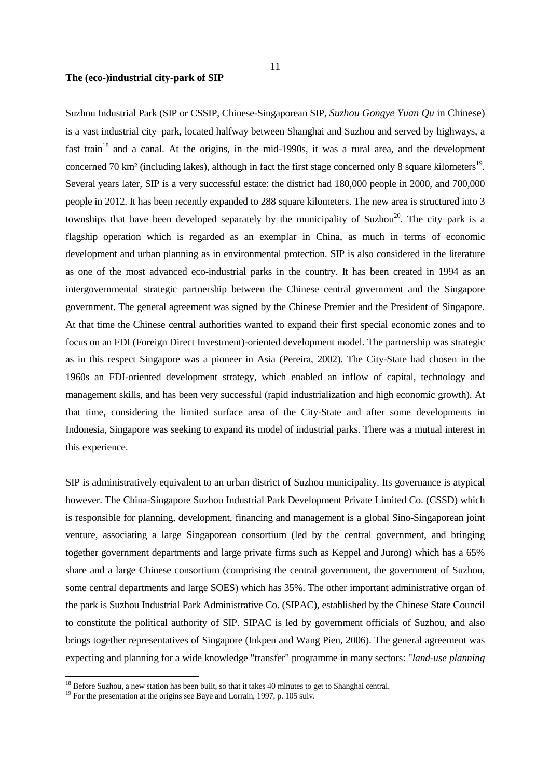Suzhou Industrial Park (SIP or CSSIP, Chinese-Singaporean SIP, *Suzhou Gongye Yuan Qu* in Chinese) is a vast industrial city–park, located halfway between Shanghai and Suzhou and served by highways, a fast train<sup>18</sup> and a canal. At the origins, in the mid-1990s, it was a rural area, and the development concerned 70 km<sup>2</sup> (including lakes), although in fact the first stage concerned only 8 square kilometers<sup>19</sup>. Several years later, SIP is a very successful estate: the district had 180,000 people in 2000, and 700,000 people in 2012. It has been recently expanded to 288 square kilometers. The new area is structured into 3 townships that have been developed separately by the municipality of Suzhou<sup>20</sup>. The city–park is a flagship operation which is regarded as an exemplar in China, as much in terms of economic development and urban planning as in environmental protection. SIP is also considered in the literature as one of the most advanced eco-industrial parks in the country. It has been created in 1994 as an intergovernmental strategic partnership between the Chinese central government and the Singapore government. The general agreement was signed by the Chinese Premier and the President of Singapore. At that time the Chinese central authorities wanted to expand their first special economic zones and to focus on an FDI (Foreign Direct Investment)-oriented development model. The partnership was strategic as in this respect Singapore was a pioneer in Asia (Pereira, 2002). The City-State had chosen in the 1960s an FDI-oriented development strategy, which enabled an inflow of capital, technology and management skills, and has been very successful (rapid industrialization and high economic growth). At

that time, considering the limited surface area of the City-State and after some developments in Indonesia, Singapore was seeking to expand its model of industrial parks. There was a mutual interest in this experience.

SIP is administratively equivalent to an urban district of Suzhou municipality. Its governance is atypical however. The China-Singapore Suzhou Industrial Park Development Private Limited Co. (CSSD) which is responsible for planning, development, financing and management is a global Sino-Singaporean joint venture, associating a large Singaporean consortium (led by the central government, and bringing together government departments and large private firms such as Keppel and Jurong) which has a 65% share and a large Chinese consortium (comprising the central government, the government of Suzhou, some central departments and large SOES) which has 35%. The other important administrative organ of the park is Suzhou Industrial Park Administrative Co. (SIPAC), established by the Chinese State Council to constitute the political authority of SIP. SIPAC is led by government officials of Suzhou, and also brings together representatives of Singapore (Inkpen and Wang Pien, 2006). The general agreement was expecting and planning for a wide knowledge "transfer" programme in many sectors: "*land-use planning*

<sup>&</sup>lt;sup>18</sup> Before Suzhou, a new station has been built, so that it takes 40 minutes to get to Shanghai central.

<sup>&</sup>lt;sup>19</sup> For the presentation at the origins see Baye and Lorrain, 1997, p. 105 suiv.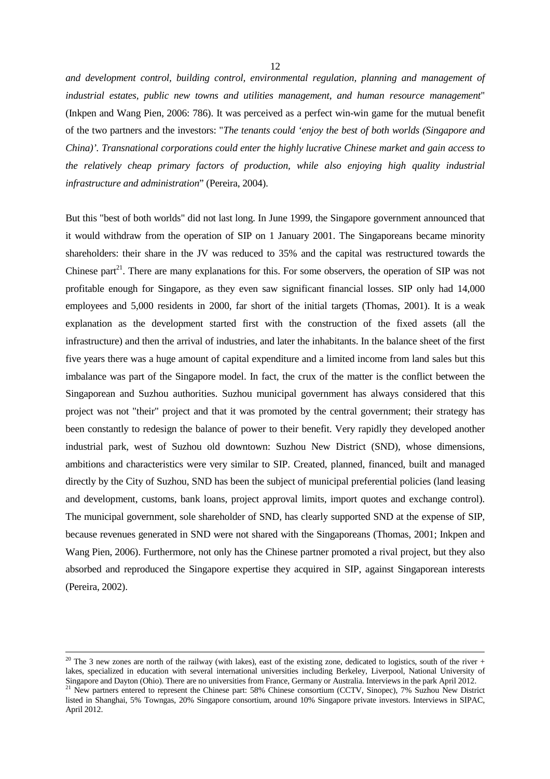12

*and development control, building control, environmental regulation, planning and management of industrial estates, public new towns and utilities management, and human resource management*" (Inkpen and Wang Pien, 2006: 786). It was perceived as a perfect win-win game for the mutual benefit of the two partners and the investors: "*The tenants could 'enjoy the best of both worlds (Singapore and China)'. Transnational corporations could enter the highly lucrative Chinese market and gain access to the relatively cheap primary factors of production, while also enjoying high quality industrial infrastructure and administration*" (Pereira, 2004).

But this "best of both worlds" did not last long. In June 1999, the Singapore government announced that it would withdraw from the operation of SIP on 1 January 2001. The Singaporeans became minority shareholders: their share in the JV was reduced to 35% and the capital was restructured towards the Chinese part<sup>21</sup>. There are many explanations for this. For some observers, the operation of SIP was not profitable enough for Singapore, as they even saw significant financial losses. SIP only had 14,000 employees and 5,000 residents in 2000, far short of the initial targets (Thomas, 2001). It is a weak explanation as the development started first with the construction of the fixed assets (all the infrastructure) and then the arrival of industries, and later the inhabitants. In the balance sheet of the first five years there was a huge amount of capital expenditure and a limited income from land sales but this imbalance was part of the Singapore model. In fact, the crux of the matter is the conflict between the Singaporean and Suzhou authorities. Suzhou municipal government has always considered that this project was not "their" project and that it was promoted by the central government; their strategy has been constantly to redesign the balance of power to their benefit. Very rapidly they developed another industrial park, west of Suzhou old downtown: Suzhou New District (SND), whose dimensions, ambitions and characteristics were very similar to SIP. Created, planned, financed, built and managed directly by the City of Suzhou, SND has been the subject of municipal preferential policies (land leasing and development, customs, bank loans, project approval limits, import quotes and exchange control). The municipal government, sole shareholder of SND, has clearly supported SND at the expense of SIP, because revenues generated in SND were not shared with the Singaporeans (Thomas, 2001; Inkpen and Wang Pien, 2006). Furthermore, not only has the Chinese partner promoted a rival project, but they also absorbed and reproduced the Singapore expertise they acquired in SIP, against Singaporean interests (Pereira, 2002).

<sup>&</sup>lt;sup>20</sup> The 3 new zones are north of the railway (with lakes), east of the existing zone, dedicated to logistics, south of the river + lakes, specialized in education with several international universities including Berkeley, Liverpool, National University of Singapore and Dayton (Ohio). There are no universities from France, Germany or Australia. Interviews in the park April 2012.

<sup>&</sup>lt;sup>21</sup> New partners entered to represent the Chinese part: 58% Chinese consortium (CCTV, Sinopec), 7% Suzhou New District listed in Shanghai, 5% Towngas, 20% Singapore consortium, around 10% Singapore private investors. Interviews in SIPAC, April 2012.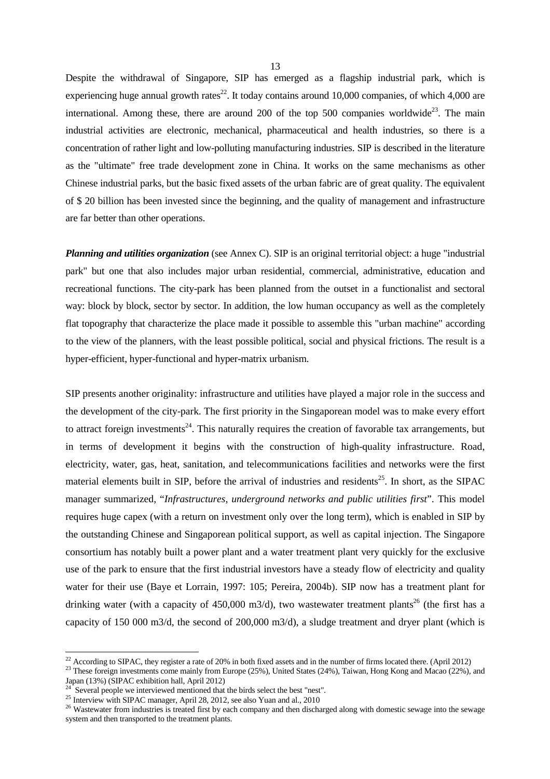Despite the withdrawal of Singapore, SIP has emerged as a flagship industrial park, which is experiencing huge annual growth rates<sup>22</sup>. It today contains around 10,000 companies, of which 4,000 are international. Among these, there are around 200 of the top 500 companies worldwide<sup>23</sup>. The main industrial activities are electronic, mechanical, pharmaceutical and health industries, so there is a concentration of rather light and low-polluting manufacturing industries. SIP is described in the literature as the "ultimate" free trade development zone in China. It works on the same mechanisms as other Chinese industrial parks, but the basic fixed assets of the urban fabric are of great quality. The equivalent of \$ 20 billion has been invested since the beginning, and the quality of management and infrastructure are far better than other operations.

*Planning and utilities organization* (see Annex C). SIP is an original territorial object: a huge "industrial park" but one that also includes major urban residential, commercial, administrative, education and recreational functions. The city-park has been planned from the outset in a functionalist and sectoral way: block by block, sector by sector. In addition, the low human occupancy as well as the completely flat topography that characterize the place made it possible to assemble this "urban machine" according to the view of the planners, with the least possible political, social and physical frictions. The result is a hyper-efficient, hyper-functional and hyper-matrix urbanism.

SIP presents another originality: infrastructure and utilities have played a major role in the success and the development of the city-park. The first priority in the Singaporean model was to make every effort to attract foreign investments<sup>24</sup>. This naturally requires the creation of favorable tax arrangements, but in terms of development it begins with the construction of high-quality infrastructure. Road, electricity, water, gas, heat, sanitation, and telecommunications facilities and networks were the first material elements built in SIP, before the arrival of industries and residents<sup>25</sup>. In short, as the SIPAC manager summarized, "*Infrastructures, underground networks and public utilities first*". This model requires huge capex (with a return on investment only over the long term), which is enabled in SIP by the outstanding Chinese and Singaporean political support, as well as capital injection. The Singapore consortium has notably built a power plant and a water treatment plant very quickly for the exclusive use of the park to ensure that the first industrial investors have a steady flow of electricity and quality water for their use (Baye et Lorrain, 1997: 105; Pereira, 2004b). SIP now has a treatment plant for drinking water (with a capacity of 450,000 m3/d), two wastewater treatment plants<sup>26</sup> (the first has a capacity of 150 000 m3/d, the second of 200,000 m3/d), a sludge treatment and dryer plant (which is

 $^{22}$  According to SIPAC, they register a rate of 20% in both fixed assets and in the number of firms located there. (April 2012)

<sup>&</sup>lt;sup>23</sup> These foreign investments come mainly from Europe (25%), United States (24%), Taiwan, Hong Kong and Macao (22%), and Japan (13%) (SIPAC exhibition hall, April 2012)

 $24$  Several people we interviewed mentioned that the birds select the best "nest".

<sup>&</sup>lt;sup>25</sup> Interview with SIPAC manager, April 28, 2012, see also Yuan and al., 2010

<sup>&</sup>lt;sup>26</sup> Wastewater from industries is treated first by each company and then discharged along with domestic sewage into the sewage system and then transported to the treatment plants.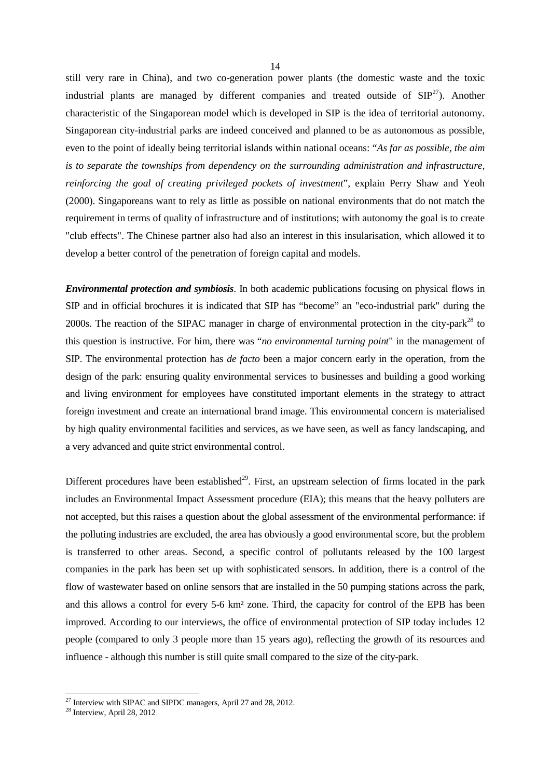still very rare in China), and two co-generation power plants (the domestic waste and the toxic industrial plants are managed by different companies and treated outside of  $\text{SIP}^{27}$ ). Another characteristic of the Singaporean model which is developed in SIP is the idea of territorial autonomy. Singaporean city-industrial parks are indeed conceived and planned to be as autonomous as possible, even to the point of ideally being territorial islands within national oceans: "*As far as possible, the aim is to separate the townships from dependency on the surrounding administration and infrastructure, reinforcing the goal of creating privileged pockets of investment*", explain Perry Shaw and Yeoh (2000). Singaporeans want to rely as little as possible on national environments that do not match the requirement in terms of quality of infrastructure and of institutions; with autonomy the goal is to create "club effects". The Chinese partner also had also an interest in this insularisation, which allowed it to develop a better control of the penetration of foreign capital and models.

*Environmental protection and symbiosis*. In both academic publications focusing on physical flows in SIP and in official brochures it is indicated that SIP has "become" an "eco-industrial park" during the 2000s. The reaction of the SIPAC manager in charge of environmental protection in the city-park<sup>28</sup> to this question is instructive. For him, there was "*no environmental turning point*" in the management of SIP. The environmental protection has *de facto* been a major concern early in the operation, from the design of the park: ensuring quality environmental services to businesses and building a good working and living environment for employees have constituted important elements in the strategy to attract foreign investment and create an international brand image. This environmental concern is materialised by high quality environmental facilities and services, as we have seen, as well as fancy landscaping, and a very advanced and quite strict environmental control.

Different procedures have been established<sup>29</sup>. First, an upstream selection of firms located in the park includes an Environmental Impact Assessment procedure (EIA); this means that the heavy polluters are not accepted, but this raises a question about the global assessment of the environmental performance: if the polluting industries are excluded, the area has obviously a good environmental score, but the problem is transferred to other areas. Second, a specific control of pollutants released by the 100 largest companies in the park has been set up with sophisticated sensors. In addition, there is a control of the flow of wastewater based on online sensors that are installed in the 50 pumping stations across the park, and this allows a control for every 5-6 km² zone. Third, the capacity for control of the EPB has been improved. According to our interviews, the office of environmental protection of SIP today includes 12 people (compared to only 3 people more than 15 years ago), reflecting the growth of its resources and influence - although this number is still quite small compared to the size of the city-park.

<sup>&</sup>lt;sup>27</sup> Interview with SIPAC and SIPDC managers, April 27 and 28, 2012.

 $28$  Interview, April 28, 2012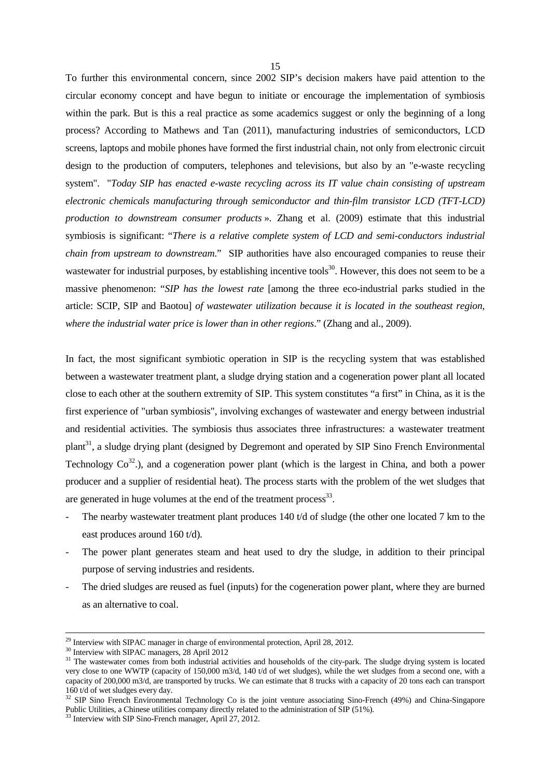To further this environmental concern, since 2002 SIP's decision makers have paid attention to the circular economy concept and have begun to initiate or encourage the implementation of symbiosis within the park. But is this a real practice as some academics suggest or only the beginning of a long process? According to Mathews and Tan (2011), manufacturing industries of semiconductors, LCD screens, laptops and mobile phones have formed the first industrial chain, not only from electronic circuit design to the production of computers, telephones and televisions, but also by an "e-waste recycling system". "*Today SIP has enacted e-waste recycling across its IT value chain consisting of upstream electronic chemicals manufacturing through semiconductor and thin-film transistor LCD (TFT-LCD) production to downstream consumer products* ». Zhang et al. (2009) estimate that this industrial symbiosis is significant: "*There is a relative complete system of LCD and semi-conductors industrial chain from upstream to downstream*." SIP authorities have also encouraged companies to reuse their wastewater for industrial purposes, by establishing incentive tools<sup>30</sup>. However, this does not seem to be a massive phenomenon: "*SIP has the lowest rate* [among the three eco-industrial parks studied in the article: SCIP, SIP and Baotou] *of wastewater utilization because it is located in the southeast region, where the industrial water price is lower than in other regions*." (Zhang and al., 2009).

In fact, the most significant symbiotic operation in SIP is the recycling system that was established between a wastewater treatment plant, a sludge drying station and a cogeneration power plant all located close to each other at the southern extremity of SIP. This system constitutes "a first" in China, as it is the first experience of "urban symbiosis", involving exchanges of wastewater and energy between industrial and residential activities. The symbiosis thus associates three infrastructures: a wastewater treatment plant<sup>31</sup>, a sludge drying plant (designed by Degremont and operated by SIP Sino French Environmental Technology  $Co^{32}$ .), and a cogeneration power plant (which is the largest in China, and both a power producer and a supplier of residential heat). The process starts with the problem of the wet sludges that are generated in huge volumes at the end of the treatment process<sup>33</sup>.

- The nearby wastewater treatment plant produces 140 t/d of sludge (the other one located 7 km to the east produces around 160 t/d).
- The power plant generates steam and heat used to dry the sludge, in addition to their principal purpose of serving industries and residents.
- The dried sludges are reused as fuel (inputs) for the cogeneration power plant, where they are burned as an alternative to coal.

 $\overline{a}$ 

15

 $29$  Interview with SIPAC manager in charge of environmental protection, April 28, 2012.

<sup>30</sup> Interview with SIPAC managers, 28 April 2012

<sup>&</sup>lt;sup>31</sup> The wastewater comes from both industrial activities and households of the city-park. The sludge drying system is located very close to one WWTP (capacity of 150,000 m3/d, 140 t/d of wet sludges), while the wet sludges from a second one, with a capacity of 200,000 m3/d, are transported by trucks. We can estimate that 8 trucks with a capacity of 20 tons each can transport 160 t/d of wet sludges every day.

<sup>&</sup>lt;sup>32</sup> SIP Sino French Environmental Technology Co is the joint venture associating Sino-French (49%) and China-Singapore Public Utilities, a Chinese utilities company directly related to the administration of SIP (51%).

<sup>33</sup> Interview with SIP Sino-French manager, April 27, 2012.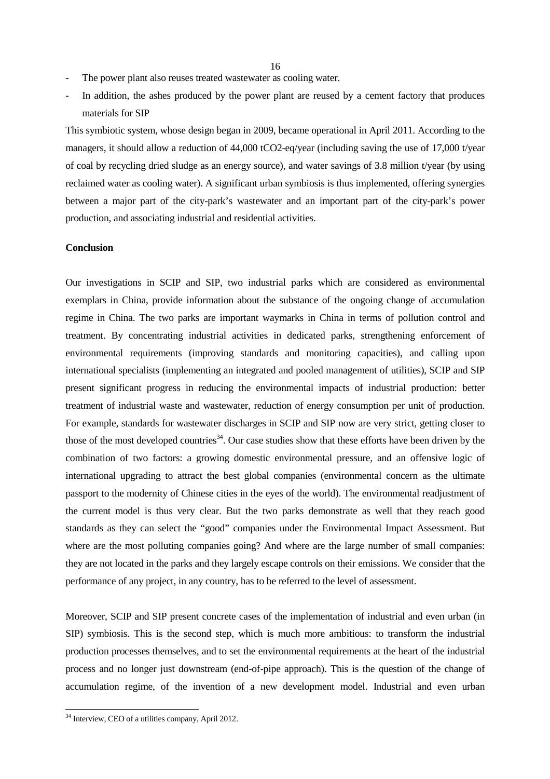- The power plant also reuses treated wastewater as cooling water.
- In addition, the ashes produced by the power plant are reused by a cement factory that produces materials for SIP

This symbiotic system, whose design began in 2009, became operational in April 2011. According to the managers, it should allow a reduction of 44,000 tCO2-eq/year (including saving the use of 17,000 t/year of coal by recycling dried sludge as an energy source), and water savings of 3.8 million t/year (by using reclaimed water as cooling water). A significant urban symbiosis is thus implemented, offering synergies between a major part of the city-park's wastewater and an important part of the city-park's power production, and associating industrial and residential activities.

## **Conclusion**

Our investigations in SCIP and SIP, two industrial parks which are considered as environmental exemplars in China, provide information about the substance of the ongoing change of accumulation regime in China. The two parks are important waymarks in China in terms of pollution control and treatment. By concentrating industrial activities in dedicated parks, strengthening enforcement of environmental requirements (improving standards and monitoring capacities), and calling upon international specialists (implementing an integrated and pooled management of utilities), SCIP and SIP present significant progress in reducing the environmental impacts of industrial production: better treatment of industrial waste and wastewater, reduction of energy consumption per unit of production. For example, standards for wastewater discharges in SCIP and SIP now are very strict, getting closer to those of the most developed countries<sup>34</sup>. Our case studies show that these efforts have been driven by the combination of two factors: a growing domestic environmental pressure, and an offensive logic of international upgrading to attract the best global companies (environmental concern as the ultimate passport to the modernity of Chinese cities in the eyes of the world). The environmental readjustment of the current model is thus very clear. But the two parks demonstrate as well that they reach good standards as they can select the "good" companies under the Environmental Impact Assessment. But where are the most polluting companies going? And where are the large number of small companies: they are not located in the parks and they largely escape controls on their emissions. We consider that the performance of any project, in any country, has to be referred to the level of assessment.

Moreover, SCIP and SIP present concrete cases of the implementation of industrial and even urban (in SIP) symbiosis. This is the second step, which is much more ambitious: to transform the industrial production processes themselves, and to set the environmental requirements at the heart of the industrial process and no longer just downstream (end-of-pipe approach). This is the question of the change of accumulation regime, of the invention of a new development model. Industrial and even urban

l

<sup>&</sup>lt;sup>34</sup> Interview, CEO of a utilities company, April 2012.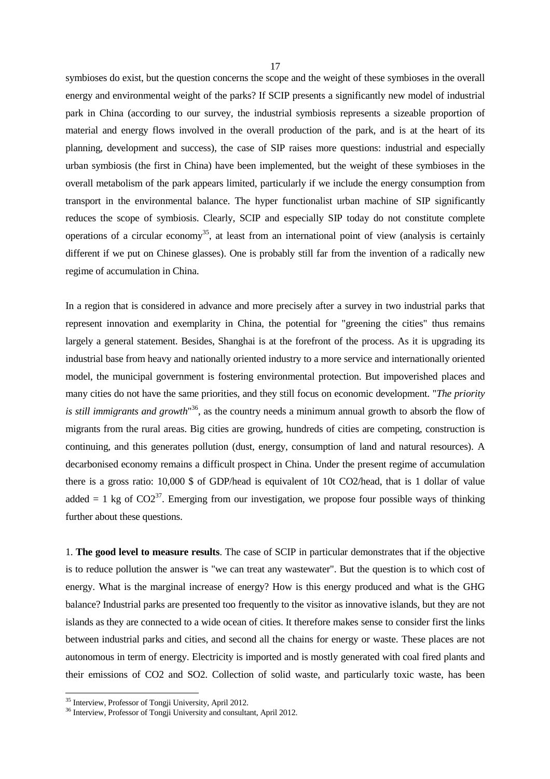symbioses do exist, but the question concerns the scope and the weight of these symbioses in the overall energy and environmental weight of the parks? If SCIP presents a significantly new model of industrial park in China (according to our survey, the industrial symbiosis represents a sizeable proportion of material and energy flows involved in the overall production of the park, and is at the heart of its planning, development and success), the case of SIP raises more questions: industrial and especially urban symbiosis (the first in China) have been implemented, but the weight of these symbioses in the overall metabolism of the park appears limited, particularly if we include the energy consumption from transport in the environmental balance. The hyper functionalist urban machine of SIP significantly reduces the scope of symbiosis. Clearly, SCIP and especially SIP today do not constitute complete operations of a circular economy<sup>35</sup>, at least from an international point of view (analysis is certainly different if we put on Chinese glasses). One is probably still far from the invention of a radically new regime of accumulation in China.

In a region that is considered in advance and more precisely after a survey in two industrial parks that represent innovation and exemplarity in China, the potential for "greening the cities" thus remains largely a general statement. Besides, Shanghai is at the forefront of the process. As it is upgrading its industrial base from heavy and nationally oriented industry to a more service and internationally oriented model, the municipal government is fostering environmental protection. But impoverished places and many cities do not have the same priorities, and they still focus on economic development. "*The priority is still immigrants and growth*" <sup>36</sup>, as the country needs a minimum annual growth to absorb the flow of migrants from the rural areas. Big cities are growing, hundreds of cities are competing, construction is continuing, and this generates pollution (dust, energy, consumption of land and natural resources). A decarbonised economy remains a difficult prospect in China. Under the present regime of accumulation there is a gross ratio: 10,000 \$ of GDP/head is equivalent of 10t CO2/head, that is 1 dollar of value added = 1 kg of  $CO2^{37}$ . Emerging from our investigation, we propose four possible ways of thinking further about these questions.

1. **The good level to measure results**. The case of SCIP in particular demonstrates that if the objective is to reduce pollution the answer is "we can treat any wastewater". But the question is to which cost of energy. What is the marginal increase of energy? How is this energy produced and what is the GHG balance? Industrial parks are presented too frequently to the visitor as innovative islands, but they are not islands as they are connected to a wide ocean of cities. It therefore makes sense to consider first the links between industrial parks and cities, and second all the chains for energy or waste. These places are not autonomous in term of energy. Electricity is imported and is mostly generated with coal fired plants and their emissions of CO2 and SO2. Collection of solid waste, and particularly toxic waste, has been

<sup>&</sup>lt;sup>35</sup> Interview, Professor of Tongji University, April 2012.

<sup>&</sup>lt;sup>36</sup> Interview, Professor of Tongji University and consultant, April 2012.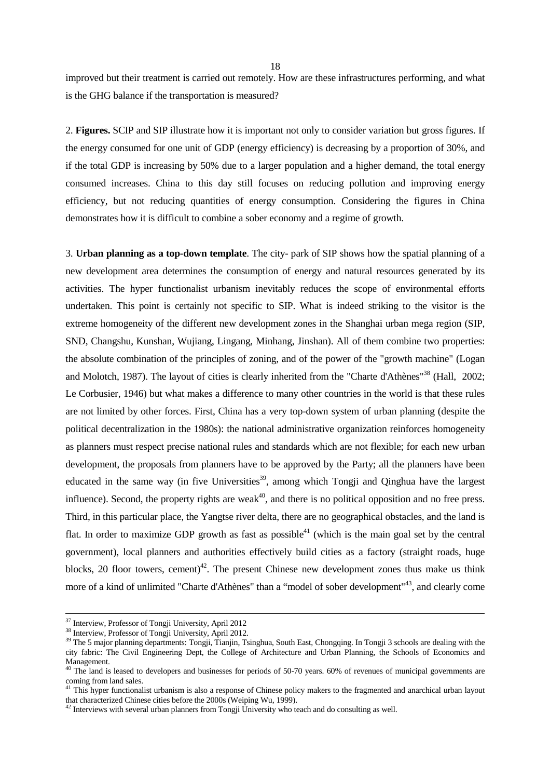improved but their treatment is carried out remotely. How are these infrastructures performing, and what is the GHG balance if the transportation is measured?

2. **Figures.** SCIP and SIP illustrate how it is important not only to consider variation but gross figures. If the energy consumed for one unit of GDP (energy efficiency) is decreasing by a proportion of 30%, and if the total GDP is increasing by 50% due to a larger population and a higher demand, the total energy consumed increases. China to this day still focuses on reducing pollution and improving energy efficiency, but not reducing quantities of energy consumption. Considering the figures in China demonstrates how it is difficult to combine a sober economy and a regime of growth.

3. **Urban planning as a top-down template**. The city- park of SIP shows how the spatial planning of a new development area determines the consumption of energy and natural resources generated by its activities. The hyper functionalist urbanism inevitably reduces the scope of environmental efforts undertaken. This point is certainly not specific to SIP. What is indeed striking to the visitor is the extreme homogeneity of the different new development zones in the Shanghai urban mega region (SIP, SND, Changshu, Kunshan, Wujiang, Lingang, Minhang, Jinshan). All of them combine two properties: the absolute combination of the principles of zoning, and of the power of the "growth machine" (Logan and Molotch, 1987). The layout of cities is clearly inherited from the "Charte d'Athènes"<sup>38</sup> (Hall, 2002; Le Corbusier, 1946) but what makes a difference to many other countries in the world is that these rules are not limited by other forces. First, China has a very top-down system of urban planning (despite the political decentralization in the 1980s): the national administrative organization reinforces homogeneity as planners must respect precise national rules and standards which are not flexible; for each new urban development, the proposals from planners have to be approved by the Party; all the planners have been educated in the same way (in five Universities<sup>39</sup>, among which Tongji and Qinghua have the largest influence). Second, the property rights are weak $40$ , and there is no political opposition and no free press. Third, in this particular place, the Yangtse river delta, there are no geographical obstacles, and the land is flat. In order to maximize GDP growth as fast as possible<sup>41</sup> (which is the main goal set by the central government), local planners and authorities effectively build cities as a factory (straight roads, huge blocks, 20 floor towers, cement)<sup>42</sup>. The present Chinese new development zones thus make us think more of a kind of unlimited "Charte d'Athènes" than a "model of sober development"<sup>43</sup>, and clearly come

<sup>&</sup>lt;sup>37</sup> Interview, Professor of Tongji University, April 2012

<sup>&</sup>lt;sup>38</sup> Interview, Professor of Tongji University, April 2012.

<sup>&</sup>lt;sup>39</sup> The 5 major planning departments: Tongji, Tianjin, Tsinghua, South East, Chongqing. In Tongji 3 schools are dealing with the city fabric: The Civil Engineering Dept, the College of Architecture and Urban Planning, the Schools of Economics and Management.

 $40$  The land is leased to developers and businesses for periods of 50-70 years. 60% of revenues of municipal governments are coming from land sales.

<sup>&</sup>lt;sup>41</sup> This hyper functionalist urbanism is also a response of Chinese policy makers to the fragmented and anarchical urban layout that characterized Chinese cities before the 2000s (Weiping Wu, 1999).

<sup>&</sup>lt;sup>42</sup> Interviews with several urban planners from Tongji University who teach and do consulting as well.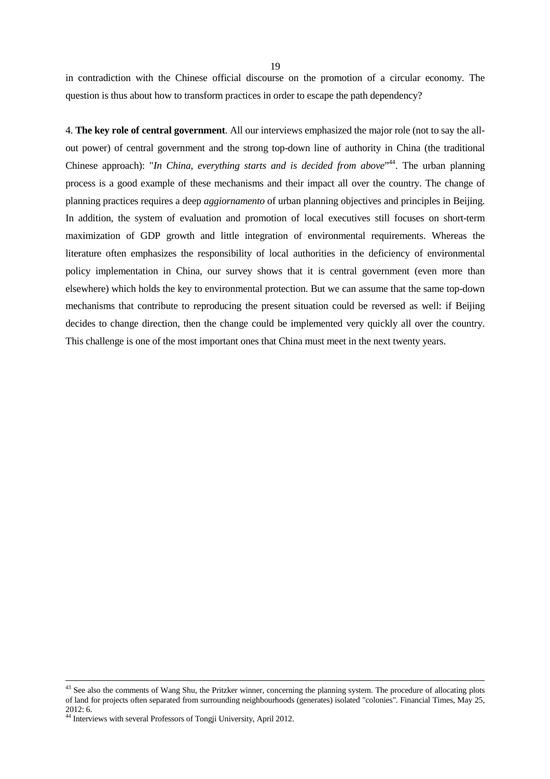in contradiction with the Chinese official discourse on the promotion of a circular economy. The question is thus about how to transform practices in order to escape the path dependency?

4. **The key role of central government**. All our interviews emphasized the major role (not to say the allout power) of central government and the strong top-down line of authority in China (the traditional Chinese approach): "*In China, everything starts and is decided from above*<sup>"44</sup>. The urban planning process is a good example of these mechanisms and their impact all over the country. The change of planning practices requires a deep *aggiornamento* of urban planning objectives and principles in Beijing. In addition, the system of evaluation and promotion of local executives still focuses on short-term maximization of GDP growth and little integration of environmental requirements. Whereas the literature often emphasizes the responsibility of local authorities in the deficiency of environmental policy implementation in China, our survey shows that it is central government (even more than elsewhere) which holds the key to environmental protection. But we can assume that the same top-down mechanisms that contribute to reproducing the present situation could be reversed as well: if Beijing decides to change direction, then the change could be implemented very quickly all over the country. This challenge is one of the most important ones that China must meet in the next twenty years.

 $43$  See also the comments of Wang Shu, the Pritzker winner, concerning the planning system. The procedure of allocating plots of land for projects often separated from surrounding neighbourhoods (generates) isolated "colonies". Financial Times, May 25, 2012: 6.

<sup>44</sup> Interviews with several Professors of Tongji University, April 2012.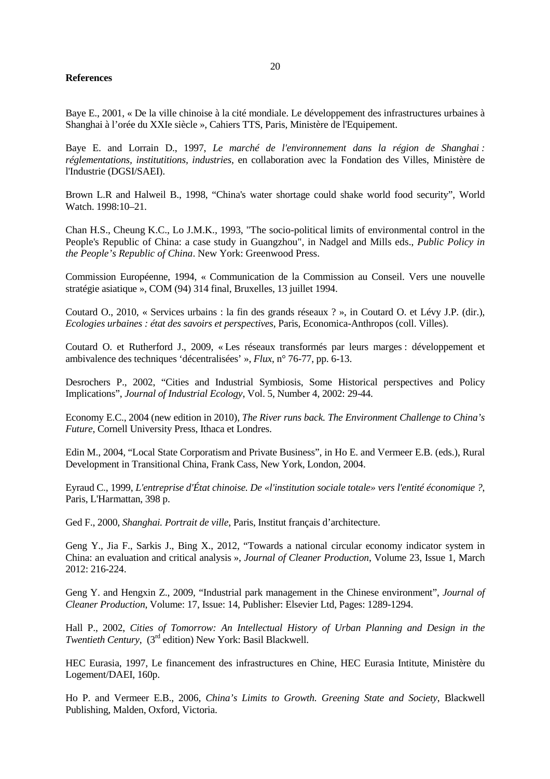## **References**

Baye E., 2001, « De la ville chinoise à la cité mondiale. Le développement des infrastructures urbaines à Shanghai à l'orée du XXIe siècle », Cahiers TTS, Paris, Ministère de l'Equipement.

Baye E. and Lorrain D., 1997, *Le marché de l'environnement dans la région de Shanghai : réglementations, institutitions, industries*, en collaboration avec la Fondation des Villes, Ministère de l'Industrie (DGSI/SAEI).

Brown L.R and Halweil B., 1998, "China's water shortage could shake world food security", World Watch. 1998:10–21.

Chan H.S., Cheung K.C., Lo J.M.K.*,* 1993, "The socio*-*political limits of environmental control in the People's Republic of China: a case study in Guangzhou", in Nadgel and Mills eds., *Public Policy in the People's Republic of China*. New York: Greenwood Press.

Commission Européenne, 1994, « Communication de la Commission au Conseil. Vers une nouvelle stratégie asiatique », COM (94) 314 final, Bruxelles, 13 juillet 1994.

Coutard O., 2010, « Services urbains : la fin des grands réseaux ? », in Coutard O. et Lévy J.P. (dir.), *Ecologies urbaines : état des savoirs et perspectives*, Paris, Economica-Anthropos (coll. Villes).

Coutard O. et Rutherford J., 2009, « Les réseaux transformés par leurs marges : développement et ambivalence des techniques 'décentralisées' », *Flux*, n° 76-77, pp. 6-13.

Desrochers P., 2002, "Cities and Industrial Symbiosis, Some Historical perspectives and Policy Implications", *Journal of Industrial Ecology*, Vol. 5, Number 4, 2002: 29-44.

Economy E.C., 2004 (new edition in 2010), *The River runs back. The Environment Challenge to China's Future*, Cornell University Press, Ithaca et Londres.

Edin M., 2004, "Local State Corporatism and Private Business", in Ho E. and Vermeer E.B. (eds.), Rural Development in Transitional China, Frank Cass, New York, London, 2004.

Eyraud C., 1999, *L'entreprise d'État chinoise. De «l'institution sociale totale» vers l'entité économique ?*, Paris, L'Harmattan, 398 p.

Ged F., 2000, *Shanghai. Portrait de ville*, Paris, Institut français d'architecture.

Geng Y., Jia F., Sarkis J., Bing X., 2012, "Towards a national circular economy indicator system in China: an evaluation and critical analysis », *Journal of Cleaner Production*, Volume 23, Issue 1, March 2012: 216-224.

Geng Y. and Hengxin Z., 2009, "Industrial park management in the Chinese environment", *Journal of Cleaner Production*, Volume: 17, Issue: 14, Publisher: Elsevier Ltd, Pages: 1289-1294.

Hall P., 2002, *Cities of Tomorrow: An Intellectual History of Urban Planning and Design in the Twentieth Century*, (3<sup>rd</sup> edition) New York: Basil Blackwell.

HEC Eurasia, 1997, Le financement des infrastructures en Chine, HEC Eurasia Intitute, Ministère du Logement/DAEI, 160p.

Ho P. and Vermeer E.B., 2006, *China's Limits to Growth. Greening State and Society*, Blackwell Publishing, Malden, Oxford, Victoria.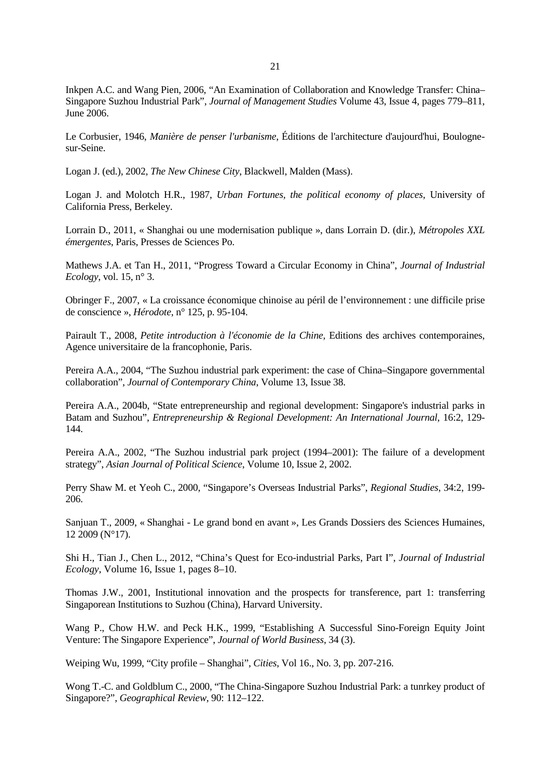Inkpen A.C. and Wang Pien, 2006, "An Examination of Collaboration and Knowledge Transfer: China– Singapore Suzhou Industrial Park", *Journal of Management Studies* Volume 43, Issue 4, pages 779–811, June 2006.

Le Corbusier, 1946, *Manière de penser l'urbanisme*, Éditions de l'architecture d'aujourd'hui, Boulognesur-Seine.

Logan J. (ed.), 2002, *The New Chinese City*, Blackwell, Malden (Mass).

Logan J. and Molotch H.R., 1987, *Urban Fortunes, the political economy of places*, University of California Press, Berkeley.

Lorrain D., 2011, « Shanghai ou une modernisation publique », dans Lorrain D. (dir.), *Métropoles XXL émergentes*, Paris, Presses de Sciences Po.

Mathews J.A. et Tan H., 2011, "Progress Toward a Circular Economy in China", *Journal of Industrial Ecology*, vol. 15, n° 3.

Obringer F., 2007, « La croissance économique chinoise au péril de l'environnement : une difficile prise de conscience », *Hérodote*, n° 125, p. 95-104.

Pairault T., 2008, *Petite introduction à l'économie de la Chine,* Editions des archives contemporaines, Agence universitaire de la francophonie, Paris.

Pereira A.A., 2004, "The Suzhou industrial park experiment: the case of China–Singapore governmental collaboration", *Journal of Contemporary China*, Volume 13, Issue 38.

Pereira A.A., 2004b, "State entrepreneurship and regional development: Singapore's industrial parks in Batam and Suzhou", *Entrepreneurship & Regional Development: An International Journal*, 16:2, 129- 144.

Pereira A.A., 2002, "The Suzhou industrial park project (1994–2001): The failure of a development strategy", *Asian Journal of Political Science*, Volume 10, Issue 2, 2002.

Perry Shaw M. et Yeoh C., 2000, "Singapore's Overseas Industrial Parks", *Regional Studies*, 34:2, 199- 206.

Sanjuan T., 2009, « Shanghai - Le grand bond en avant », Les Grands Dossiers des Sciences Humaines, 12 2009 (N°17).

Shi H., Tian J., Chen L., 2012, "China's Quest for Eco-industrial Parks, Part I", *Journal of Industrial Ecology*, Volume 16, Issue 1, pages 8–10.

Thomas J.W., 2001, Institutional innovation and the prospects for transference, part 1: transferring Singaporean Institutions to Suzhou (China), Harvard University.

Wang P., Chow H.W. and Peck H.K., 1999, "Establishing A Successful Sino-Foreign Equity Joint Venture: The Singapore Experience", *Journal of World Business*, 34 (3).

Weiping Wu, 1999, "City profile – Shanghai", *Cities*, Vol 16., No. 3, pp. 207-216.

Wong T.-C. and Goldblum C., 2000, "The China-Singapore Suzhou Industrial Park: a tunrkey product of Singapore?", *Geographical Review*, 90: 112–122.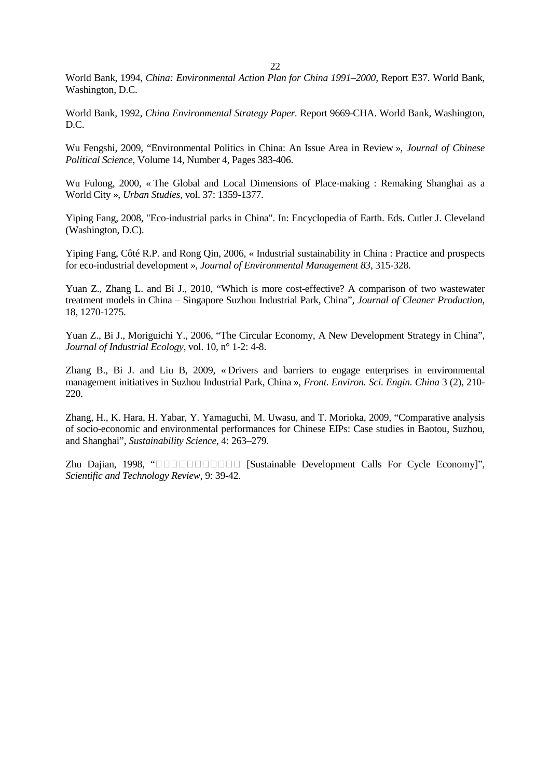World Bank, 1994, *China: Environmental Action Plan for China 1991–2000*, Report E37. World Bank, Washington, D.C.

World Bank, 1992, *China Environmental Strategy Paper.* Report 9669-CHA. World Bank, Washington, D.C.

Wu Fengshi, 2009, "Environmental Politics in China: An Issue Area in Review », *Journal of Chinese Political Science*, Volume 14, Number 4, Pages 383-406.

Wu Fulong, 2000, « The Global and Local Dimensions of Place-making : Remaking Shanghai as a World City », *Urban Studies*, vol. 37: 1359-1377.

Yiping Fang, 2008, "Eco-industrial parks in China". In: Encyclopedia of Earth. Eds. Cutler J. Cleveland (Washington, D.C).

Yiping Fang, Côté R.P. and Rong Qin, 2006, « Industrial sustainability in China : Practice and prospects for eco-industrial development », *Journal of Environmental Management 83*, 315-328.

Yuan Z., Zhang L. and Bi J., 2010, "Which is more cost-effective? A comparison of two wastewater treatment models in China – Singapore Suzhou Industrial Park, China", *Journal of Cleaner Production*, 18, 1270-1275.

Yuan Z., Bi J., Moriguichi Y., 2006, "The Circular Economy, A New Development Strategy in China", *Journal of Industrial Ecology*, vol. 10, n° 1-2: 4-8.

Zhang B., Bi J. and Liu B, 2009, « Drivers and barriers to engage enterprises in environmental management initiatives in Suzhou Industrial Park, China », *Front. Environ. Sci. Engin. China* 3 (2), 210- 220.

Zhang, H., K. Hara, H. Yabar, Y. Yamaguchi, M. Uwasu, and T. Morioka, 2009, "Comparative analysis of socio-economic and environmental performances for Chinese EIPs: Case studies in Baotou, Suzhou, and Shanghai", *Sustainability Science,* 4: 263–279.

Zhu Dajian, 1998, " [Sustainable Development Calls For Cycle Economy]", *Scientific and Technology Review*, 9: 39-42.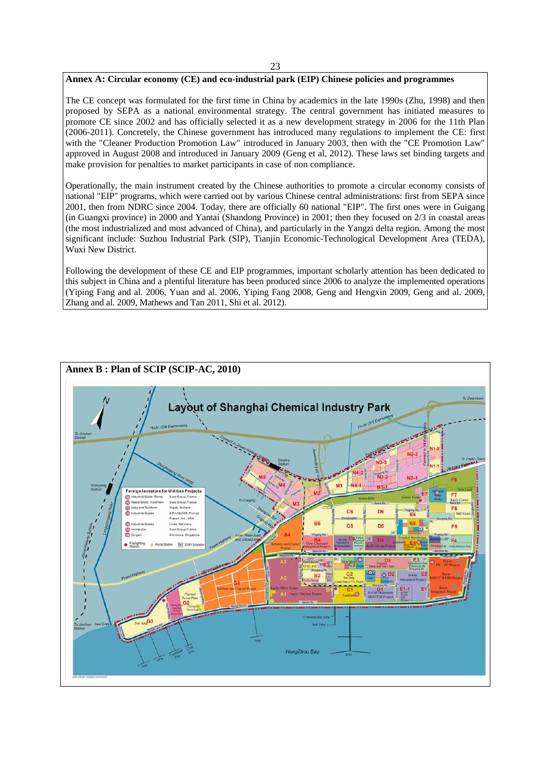#### 23

# **Annex A: Circular economy (CE) and eco-industrial park (EIP) Chinese policies and programmes**

The CE concept was formulated for the first time in China by academics in the late 1990s (Zhu, 1998) and then proposed by SEPA as a national environmental strategy. The central government has initiated measures to promote CE since 2002 and has officially selected it as a new development strategy in 2006 for the 11th Plan (2006-2011). Concretely, the Chinese government has introduced many regulations to implement the CE: first with the "Cleaner Production Promotion Law" introduced in January 2003, then with the "CE Promotion Law" approved in August 2008 and introduced in January 2009 (Geng et al, 2012). These laws set binding targets and make provision for penalties to market participants in case of non compliance.

Operationally, the main instrument created by the Chinese authorities to promote a circular economy consists of national "EIP" programs, which were carried out by various Chinese central administrations: first from SEPA since 2001, then from NDRC since 2004. Today, there are officially 60 national "EIP". The first ones were in Guigang (in Guangxi province) in 2000 and Yantai (Shandong Province) in 2001; then they focused on 2/3 in coastal areas (the most industrialized and most advanced of China), and particularly in the Yangzi delta region. Among the most significant include: Suzhou Industrial Park (SIP), Tianjin Economic-Technological Development Area (TEDA), Wuxi New District.

Following the development of these CE and EIP programmes, important scholarly attention has been dedicated to this subject in China and a plentiful literature has been produced since 2006 to analyze the implemented operations (Yiping Fang and al. 2006, Yuan and al. 2006, Yiping Fang 2008, Geng and Hengxin 2009, Geng and al. 2009, Zhang and al. 2009, Mathews and Tan 2011, Shi et al. 2012).